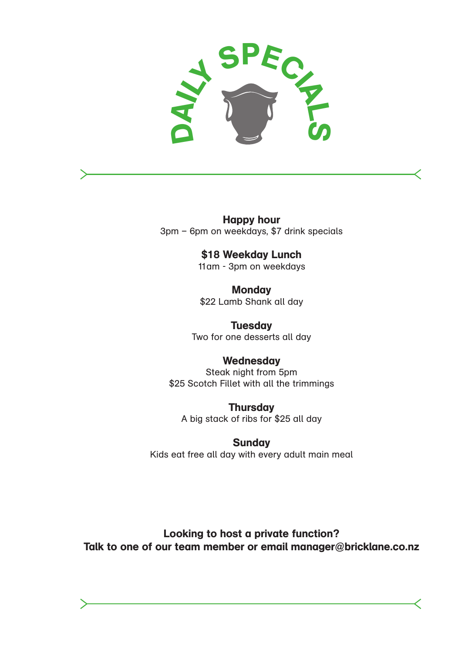

Happy hour 3pm – 6pm on weekdays, \$7 drink specials

# \$18 Weekday Lunch

11am - 3pm on weekdays

**Monday** \$22 Lamb Shank all day

**Tuesday** Two for one desserts all day

## **Wednesday**

Steak night from 5pm \$25 Scotch Fillet with all the trimmings

**Thursday** A big stack of ribs for \$25 all day

**Sunday** 

Kids eat free all day with every adult main meal

Looking to host a private function? Talk to one of our team member or email manager@bricklane.co.nz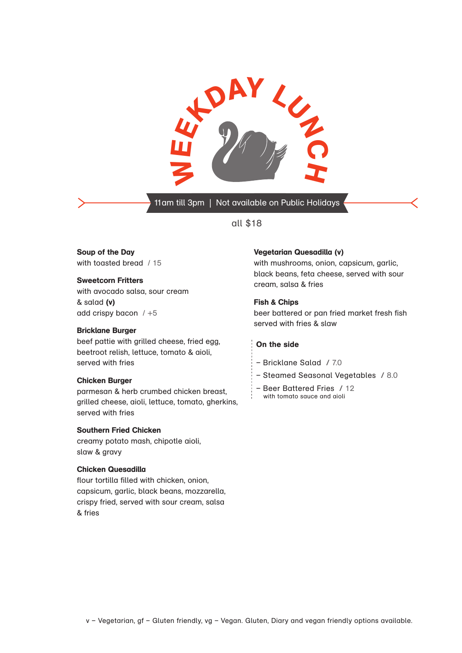

11am till 3pm | Not available on Public Holidays

#### all \$18

Soup of the Day

with toasted bread / 15

#### Sweetcorn Fritters

with avocado salsa, sour cream & salad (v) add crispy bacon  $/ +5$ 

#### Bricklane Burger

beef pattie with grilled cheese, fried egg, beetroot relish, lettuce, tomato & aioli, served with fries

#### Chicken Burger

parmesan & herb crumbed chicken breast, grilled cheese, aioli, lettuce, tomato, gherkins, served with fries

#### Southern Fried Chicken

creamy potato mash, chipotle aioli, slaw & gravy

#### Chicken Quesadilla

flour tortilla filled with chicken, onion, capsicum, garlic, black beans, mozzarella, crispy fried, served with sour cream, salsa & fries

#### Vegetarian Quesadilla (v)

with mushrooms, onion, capsicum, garlic, black beans, feta cheese, served with sour cream, salsa & fries

#### Fish & Chips

beer battered or pan fried market fresh fish served with fries & slaw

#### On the side

- Bricklane Salad / 7.0
- Steamed Seasonal Vegetables / 8.0
- Beer Battered Fries / 12
- with tomato sauce and aioli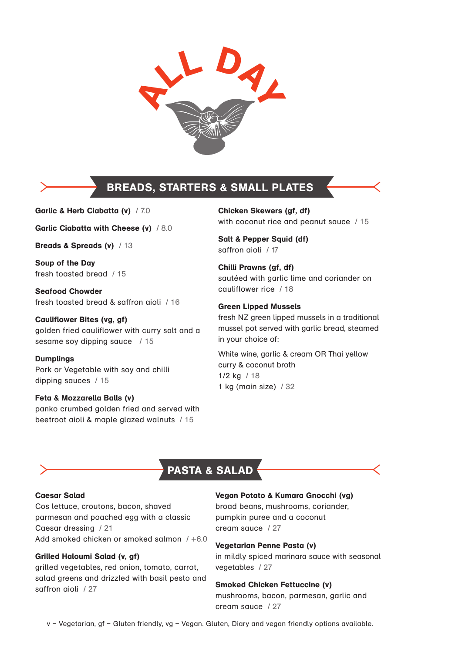

## BREADS, STARTERS & SMALL PLATES

Garlic & Herb Ciabatta (v) / 7.0

Garlic Ciabatta with Cheese (v) / 8.0

Breads & Spreads (v) / 13

Soup of the Day fresh toasted bread / 15

Seafood Chowder fresh toasted bread & saffron aioli / 16

Cauliflower Bites (vg, gf) golden fried cauliflower with curry salt and a sesame soy dipping sauce / 15

Dumplings Pork or Vegetable with soy and chilli dipping sauces / 15

Feta & Mozzarella Balls (v) panko crumbed golden fried and served with beetroot aioli & maple glazed walnuts / 15

Chicken Skewers (gf, df) with coconut rice and peanut sauce / 15

Salt & Pepper Squid (df) saffron aioli / 17

Chilli Prawns (gf, df) sautéed with garlic lime and coriander on cauliflower rice / 18

#### Green Lipped Mussels

fresh NZ green lipped mussels in a traditional mussel pot served with garlic bread, steamed in your choice of:

White wine, garlic & cream OR Thai yellow curry & coconut broth 1/2 kg / 18 1 kg (main size) / 32

## PASTA & SALAD

#### Caesar Salad

Cos lettuce, croutons, bacon, shaved parmesan and poached egg with a classic Caesar dressing / 21 Add smoked chicken or smoked salmon / +6.0

#### Grilled Haloumi Salad (v, gf)

grilled vegetables, red onion, tomato, carrot, salad greens and drizzled with basil pesto and saffron aioli / 27

#### Vegan Potato & Kumara Gnocchi (vg)

broad beans, mushrooms, coriander, pumpkin puree and a coconut cream sauce / 27

#### Vegetarian Penne Pasta (v)

in mildly spiced marinara sauce with seasonal vegetables / 27

#### Smoked Chicken Fettuccine (v)

mushrooms, bacon, parmesan, garlic and cream sauce / 27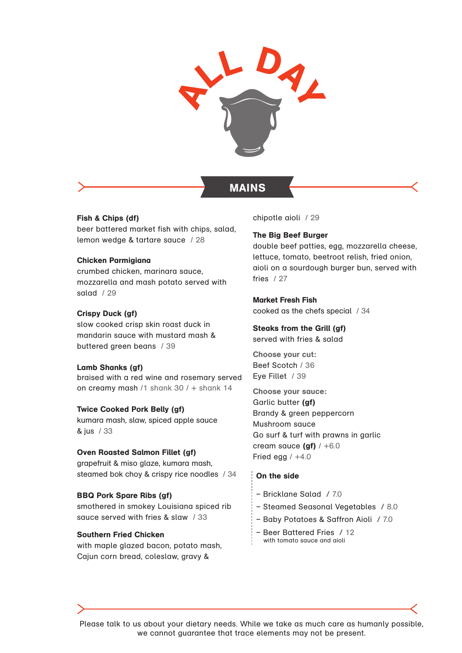

### MAINS

Fish & Chips (df) beer battered market fish with chips, salad, lemon wedge & tartare sauce / 28

#### Chicken Parmigiana

crumbed chicken, marinara sauce, mozzarella and mash potato served with salad / 29

#### Crispy Duck (gf)

slow cooked crisp skin roast duck in mandarin sauce with mustard mash & buttered green beans / 39

#### Lamb Shanks (gf)

braised with a red wine and rosemary served on creamy mash /1 shank  $30/$  + shank 14

#### Twice Cooked Pork Belly (gf)

kumara mash, slaw, spiced apple sauce & jus / 33

#### Oven Roasted Salmon Fillet (gf)

grapefruit & miso glaze, kumara mash, steamed bok choy & crispy rice noodles / 34

#### BBQ Pork Spare Ribs (gf)

smothered in smokey Louisiana spiced rib sauce served with fries & slaw / 33

#### Southern Fried Chicken

with maple glazed bacon, potato mash, Cajun corn bread, coleslaw, gravy &

chipotle aioli / 29

#### The Big Beef Burger

double beef patties, egg, mozzarella cheese, lettuce, tomato, beetroot relish, fried onion, aioli on a sourdough burger bun, served with fries / 27

Market Fresh Fish cooked as the chefs special / 34

## Steaks from the Grill (gf)

served with fries & salad

Choose your cut: Beef Scotch / 36 Eye Fillet / 39

Choose your sauce: Garlic butter (gf) Brandy & green peppercorn Mushroom sauce Go surf & turf with prawns in garlic cream sauce  $(gf)$  / +6.0 Fried egg  $/ +4.0$ 

#### On the side

- Bricklane Salad / 7.0
- Steamed Seasonal Vegetables / 8.0
- Baby Potatoes & Saffron Aioli / 7.0
- Beer Battered Fries / 12 with tomato sauce and aioli

Please talk to us about your dietary needs. While we take as much care as humanly possible, we cannot guarantee that trace elements may not be present.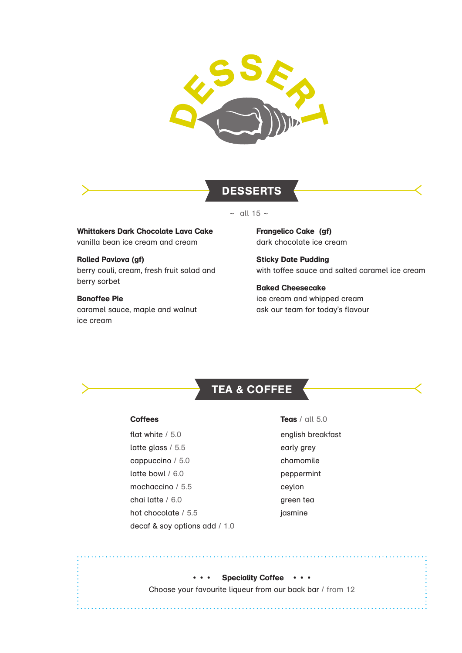

### **DESSERTS**

 $\sim$  all 15  $\sim$ 

Whittakers Dark Chocolate Lava Cake vanilla bean ice cream and cream

Rolled Pavlova (gf) berry couli, cream, fresh fruit salad and berry sorbet

Banoffee Pie caramel sauce, maple and walnut ice cream

Frangelico Cake (gf) dark chocolate ice cream

Sticky Date Pudding with toffee sauce and salted caramel ice cream

Baked Cheesecake ice cream and whipped cream ask our team for today's flavour

## TEA & COFFEE

#### **Coffees**

flat white / 5.0 latte glass / 5.5 cappuccino / 5.0 latte bowl / 6.0 mochaccino / 5.5 chai latte / 6.0 hot chocolate / 5.5 decaf & soy options add / 1.0

**Teas** / all 5.0 english breakfast early grey chamomile peppermint ceylon green tea jasmine

. . . . . . . . . . . . . .

• • • Speciality Coffee • • • Choose your favourite liqueur from our back bar / from 12

. . . . . . . . . . . . .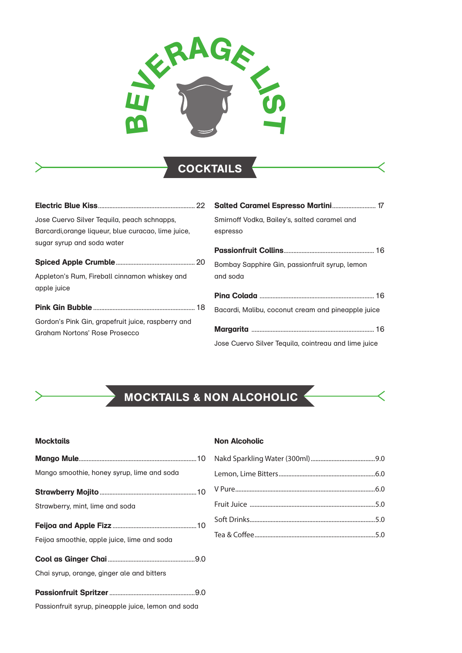

## COCKTAILS

| Jose Cuervo Silver Tequila, peach schnapps,                                         | Smirnoff Vodka, Bailey's, salted caramel and         |
|-------------------------------------------------------------------------------------|------------------------------------------------------|
| Barcardi, orange liqueur, blue curacao, lime juice,                                 | espresso                                             |
| sugar syrup and soda water                                                          |                                                      |
|                                                                                     | Bombay Sapphire Gin, passionfruit syrup, lemon       |
| Appleton's Rum, Fireball cinnamon whiskey and                                       | and soda                                             |
| apple juice                                                                         |                                                      |
|                                                                                     | Bacardi, Malibu, coconut cream and pineapple juice   |
| Gordon's Pink Gin, grapefruit juice, raspberry and<br>Graham Nortons' Rose Prosecco | Jose Cuervo Silver Teguila, cointreau and lime juice |

# MOCKTAILS & NON ALCOHOLIC

#### **Mocktails**

#### **Non Alcoholic**

| Mango smoothie, honey syrup, lime and soda  |  |
|---------------------------------------------|--|
|                                             |  |
| Strawberry, mint, lime and soda             |  |
|                                             |  |
| Feijoa smoothie, apple juice, lime and soda |  |
|                                             |  |
| Chai syrup, orange, ginger ale and bitters  |  |

Passionfruit syrup, pineapple juice, lemon and soda